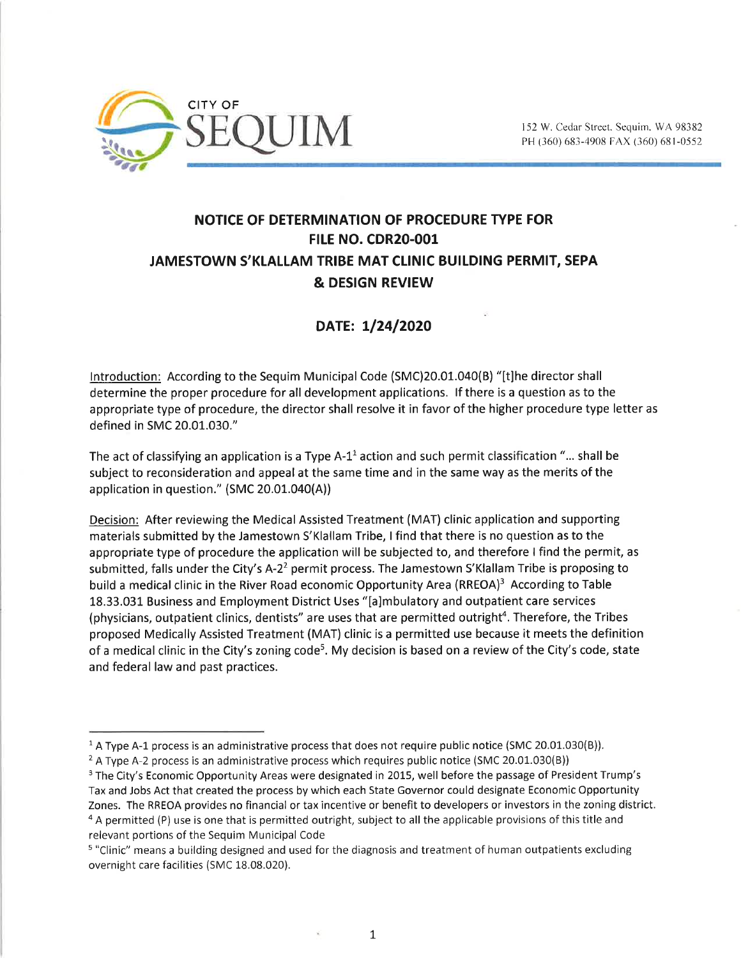

## NOTICE OF DETERMINATION OF PROCEDURE TYPE FOR FtLE NO. CDR20-001 JAMESTOWN S'KLALLAM TRIBE MAT CLINIC BUILDING PERMIT, SEPA & DESIGN REVIEW

## DATE: 1/24/2020

lntroduction: According to the Sequim Municipal Code (SMC)20.01.040(B) "[t]he director shall determine the proper procedure for all development applications. lf there is a question as to the appropriate type of procedure, the director shall resolve it in favor of the higher procedure type letter as defined in SMC 20.01.030."

The act of classifying an application is a Type  $A-1<sup>1</sup>$  action and such permit classification "... shall be subject to reconsideration and appeal at the same time and in the same way as the merits of the application in question." (SMC 20.01.040(A))

Decision: After reviewing the Medical Assisted Treatment (MAT) clinic application and supporting materials submitted by the Jamestown S'Klallam Tribe, I find that there is no question as to the appropriate type of procedure the application will be subjected to, and therefore I find the permit, as submitted, falls under the City's A-2<sup>2</sup> permit process. The Jamestown S'Klallam Tribe is proposing to build a medical clinic in the River Road economic Opportunity Area (RREOA)<sup>3</sup> According to Table 18.33.031 Business and Employment District Uses "[a]mbulatory and outpatient care services (physicians, outpatient clinics, dentists" are uses that are permitted outright<sup>4</sup>. Therefore, the Tribes proposed Medically Assisted Treatment (MAT) clinic is a permitted use because it meets the definition of a medical clinic in the City's zoning code<sup>5</sup>. My decision is based on a review of the City's code, state and federal law and past practices.

 $1A$  Type A-1 process is an administrative process that does not require public notice (SMC 20.01.030(B)).

<sup>&</sup>lt;sup>2</sup> A Type A-2 process is an administrative process which requires public notice (SMC 20.01.030(B))

<sup>&</sup>lt;sup>3</sup> The City's Economic Opportunity Areas were designated in 2015, well before the passage of President Trump's Tax and Jobs Act that created the process by which each State Governor could designate Economic Opportunity Zones. The RREOA provides no financial or tax incentive or benefit to developers or investors in the zoning district. <sup>4</sup>A permitted (P) use is one that is permitted outright, subject to all the applicable provisions of this title and relevant portions of the Sequim Municipal Code

<sup>s</sup>"Clinic" means a building designed and used for the diagnosis and treatment of human outpatients excluding overnight care facilities (SMC 18.08.020).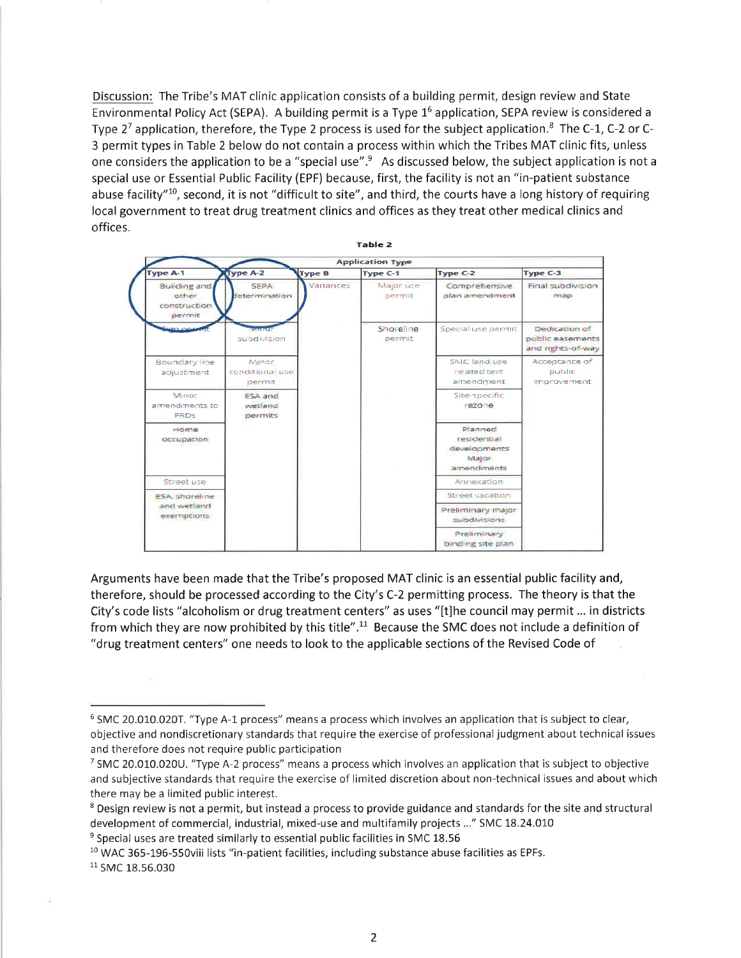Discussion: The Tribe's MAT clinic application consists of a building permit, design review and State Environmental Policy Act (SEPA). A building permit is a Type 16 application, SEPA review is considered <sup>a</sup> Type  $2^7$  application, therefore, the Type 2 process is used for the subject application.<sup>8</sup> The C-1, C-2 or C-3 permit types in Table 2 below do not contain a process within which the Tribes MAT clinic fits, unless one considers the application to be a "special use".<sup>9</sup> As discussed below, the subject application is not a special use or Essential Public Facility (EPF) because, first, the facílity is not an "in-patient substance abuse facility"<sup>10</sup>, second, it is not "difficult to site", and third, the courts have a long history of requiring local government to treat drug treatment clinics and offices as they treat other medical clinics and offices.



Arguments have been made that the Tribe's proposed MAT clinic is an essential public facility and, therefore, should be processed according to the City's C-2 permitting process. The theory is that the City's code lists "alcoholism or drug treatment centers" as uses "[t]he council may permit ... in districts from which they are now prohibited by this title".11 Because the SMC does not include a definition of "drug treatment centers" one needs to look to the applicable sections of the Revised Code of

<sup>&</sup>lt;sup>6</sup> SMC 20.010.020T. "Type A-1 process" means a process which involves an application that is subject to clear, objective and nondiscretionary standards that require the exercise of professional judgment about technical issues and therefore does not require public participation

<sup>7</sup>SMC 20.010.020U. "Type A-2 process" means a process which involves an application that is subject to objective and subjective standards that require the exercise of limited discretion about non-technical issues and about which there may be a limited public interest.

<sup>&</sup>lt;sup>8</sup> Design review is not a permit, but instead a process to provide guidance and standards for the site and structural development of commercial, industrial, mixed-use and multifamily projects ..." SMC 18.24.010

 $9$  Special uses are treated similarly to essential public facilities in SMC 18.56

<sup>&</sup>lt;sup>10</sup> WAC 365-196-550viii lists "in-patient facilities, including substance abuse facilities as EPFs.

<sup>&</sup>lt;sup>11</sup> SMC 18.56.030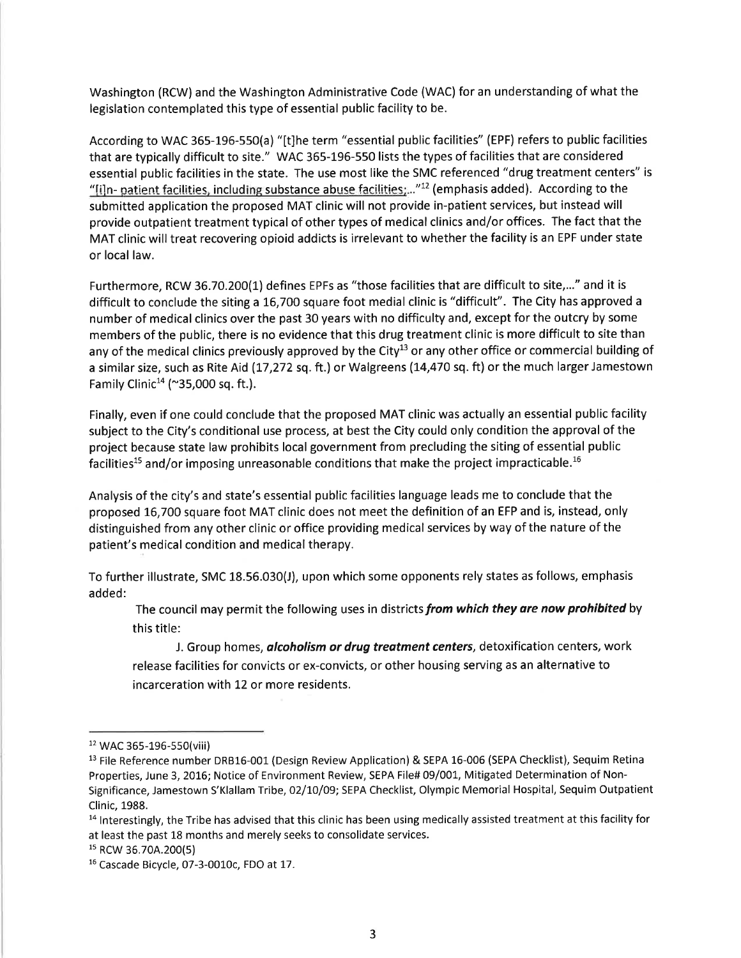Washington (RCW) and the Washington Administrative Code (WAC) for an understanding of what the legislation contemplated this type of essential public facility to be.

According to WAC 365-196-550(a) "[t]he term "essential public facilities" (EPF) refers to public facilities that are typically difficult to site." WAC 365-196-550 lists the types of facilities that are considered essential public facilities in the state. The use most like the SMC referenced "drug treatment centers" is "[i]n- patient facilities, including substance abuse facilities:..."<sup>12</sup> (emphasis added). According to the submitted application the proposed MAT clinic will not provide in-patient services, but instead will provide outpatient treatment typical of other types of medical clinics and/or offices. The fact that the MAT clinic will treat recovering opioid addicts is irrelevant to whether the facility is an EPF under state or local law.

Furthermore, RCW 36.70.200(1) defines EPFs as "those facilities that are difficult to site,..." and it is difficult to conclude the siting a L6,7OO square foot medial clinic is "difficult". The City has approved <sup>a</sup> number of medical clinics over the past 30 years with no difficulty and, except for the outcry by some members of the public, there is no evidence that this drug treatment clinic is more difficult to site than any of the medical clinics previously approved by the City<sup>13</sup> or any other office or commercial building of a similar size, such as Rite Aid (17,272 sq. ft.) or Walgreens (14,470 sq. ft) or the much larger Jamestown Family Clinic<sup>14</sup> (~35,000 sq. ft.).

Finally, even if one could conclude that the proposed MAT clinic was actually an essential public facility subject to the City's conditional use process, at best the City could only condition the approval of the project because state law prohibits local government from precluding the siting of essential public facilities<sup>15</sup> and/or imposing unreasonable conditions that make the project impracticable.<sup>16</sup>

Analysis of the city's and state's essential public facilities language leads me to conclude that the proposed L6,7O0 square foot MAT clinic does not meet the definition of an EFP and is, instead, only distinguished from any other clinic or office providing medical services by way of the nature of the patient's medical condition and medical therapy.

To further illustrate, SMC 18.56.030(J), upon which some opponents rely states as follows, emphasis added:

The council may permit the following uses in districts from which they are now prohibited by this title:

J. Group homes, *alcoholism or drug treatment centers*, detoxification centers, work release facilities for convicts or ex-convicts, or other housing serving as an alternative to incarceration with L2 or more residents.

<sup>&</sup>lt;sup>12</sup> WAC 365-196-550(viii)

<sup>&</sup>lt;sup>13</sup> File Reference number DRB16-001 (Design Review Application) & SEPA 16-006 (SEPA Checklist), Sequim Retina Properties, June 3, 2016; Notice of Environment Review, SEPA File# 09/001, Mitigated Determination of Non-Significance, Jamestown S'Klallam Tribe,02/t0/09; SEPA Checklist, Olympic Memorial Hospital, Sequim Outpatient Clinic, 1988.

 $<sup>14</sup>$  Interestingly, the Tribe has advised that this clinic has been using medically assisted treatment at this facility for</sup> at least the past 18 months and merely seeks to consolidate services.

ls Rcw 36.70A.200(5)

<sup>&</sup>lt;sup>16</sup> Cascade Bicycle, 07-3-0010c, FDO at 17.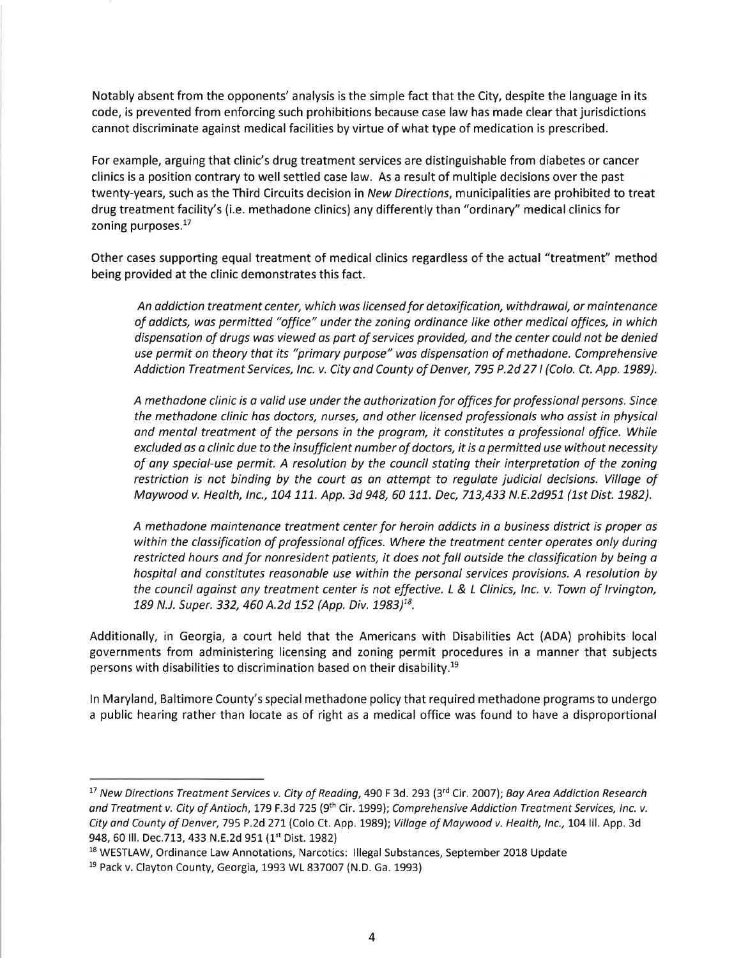Notably absent from the opponents' analysis is the simple fact that the City, despite the language in its code, is prevented from enforcing such prohibitions because case law has made clear that jurisdictions cannot discriminate against medical facilities by virtue of what type of medication is prescribed.

For example, arguing that clinic's drug treatment services are distinguishable from diabetes or cancer clinics is a position contrary to well settled case law. As a result of multíple decisions over the past twenty-years, such as the Third Circuits decision in New Directions, municipalities are prohibited to treat drug treatment facility's (i.e. methadone clinics) any differently than "ordinary" medical clinics for zoning purposes.<sup>17</sup>

Other cases supporting equal treatment of medical clinics regardless of the actual "treatment" method being provided at the clinic demonstrates this fact.

An addiction treatment center, which was licensed for detoxification, withdrawal, or maintenance of addicts, wos permitted "office" under the zoning ordinonce like other medical offices, in which dispensotion of drugs wos viewed os port of services provided, and the center could not be denied use permit on theory that its "primary purpose" was dispensation of methadone. Comprehensive Addiction Treatment Services, Inc. v. City and County of Denver, 795 P.2d 27 I (Colo. Ct. App. 1989).

A methodone clinic is a volid use under the outhorization for offices for professionol persons. Since the methadone clinic has doctors, nurses, and other licensed professionals who assist in physical and mental treatment of the persons in the program, it constitutes a professional office. While excluded os a clinic due to the insufficient number of doctors, it is a permitted use without necessity of any special-use permit. A resolution by the council stating their interpretation of the zoning restriction is not binding by the court as an attempt to regulate judicial decisions. Village of Maywood v. Health, Inc., 104 111. App. 3d 948, 60 111. Dec, 713,433 N.E.2d951 (1st Dist. 1982).

A methodone mointenance treatment center for heroin oddicts in o business district is proper as within the classification of professional offices. Where the treatment center operates only during restricted hours ond for nonresident patients, it does not foll outside the clossificotion by being <sup>a</sup> hospital and constitutes reasonable use within the personal services provisions. A resolution by the council against any treatment center is not effective. L & L Clinics, Inc. v. Town of Irvington, 189 N.J. Super. 332, 460 A.2d 152 (App. Div. 1983)<sup>18</sup>.

Additionally, in Georgia, a court held that the Americans wíth Disabilities Act (ADA) prohibits local governments from administering licensing and zoning permit procedures in a manner that subjects persons with disabilities to discrimination based on their disability.<sup>19</sup>

ln Maryland, Baltimore County's special methadone policy that required methadone programs to undergo a public hearing rather than locate as of right as a medical office was found to have a disproportional

<sup>&</sup>lt;sup>17</sup> New Directions Treatment Services v. City of Reading, 490 F 3d. 293 (3<sup>rd</sup> Cir. 2007); Bay Area Addiction Research and Treatment v. City of Antioch, 179 F.3d 725 (9<sup>th</sup> Cir. 1999); Comprehensive Addiction Treatment Services, Inc. v. City and County of Denver, 795 P.2d 271 (Colo Ct. App. 1989); Village of Maywood v. Health, Inc., 104 Ill. App. 3d 948, 60 Ill. Dec.713, 433 N.E.2d 951 (1st Dist. 1982)

<sup>&</sup>lt;sup>18</sup> WESTLAW, Ordinance Law Annotations, Narcotics: Illegal Substances, September 2018 Update

<sup>&</sup>lt;sup>19</sup> Pack v. Clayton County, Georgia, 1993 WL 837007 (N.D. Ga. 1993)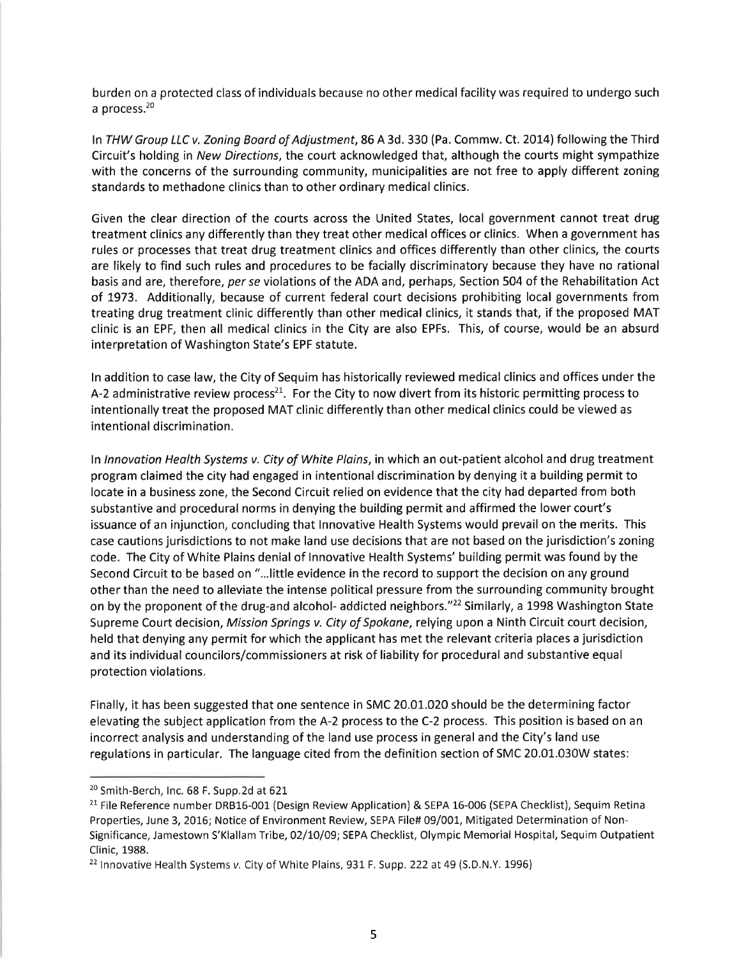burden on a protected class of individuals because no other medical facility was required to undergo such a process. $20$ 

In THW Group LLC v. Zoning Board of Adjustment, 86 A 3d. 330 (Pa. Commw. Ct. 2014) following the Third Circuit's holding in New Directions, the court acknowledged that, although the courts might sympathize with the concerns of the surrounding community, municipalities are not free to apply different zoning standards to methadone clinics than to other ordinary medical clinics.

Given the clear direction of the courts across the United States, local government cannot treat drug treatment clinics any differently than they treat other medical offices or clinics. When a government has rules or processes that treat drug treatment clinics and offices differently than other clinics, the courts are likely to find such rules and procedures to be facially discriminatory because they have no rational basis and are, therefore, per se violations of the ADA and, perhaps, Section 504 of the Rehabilitation Act of 7973. Additionally, because of current federal court decisions prohibiting local governments from treating drug treatment clinic differently than other medical clinics, it stands that, if the proposed MAT clinic is an EPF, then all medical clinics in the City are also EPFs. This, of course, would be an absurd interpretation of Washington State's EPF statute.

In addition to case law, the City of Sequim has historically reviewed medical clinics and offices under the A-2 administrative review process<sup>21</sup>. For the City to now divert from its historic permitting process to intentionally treat the proposed MAT clinic differently than other medical clinics could be viewed as intentional discrimination.

In Innovation Health Systems v. City of White Plains, in which an out-patient alcohol and drug treatment program claimed the city had engaged in intentional discrimination by denying it a building permit to locate in a business zone, the Second Circuit relied on evidence that the city had departed from both substantive and procedural norms in denying the building permit and affirmed the lower court's issuance of an injunction, concluding that lnnovative Health Systems would prevail on the merits. This case cautions jurisdictions to not make land use decisions that are not based on the jurisdiction's zoning code. The City of White Plains denial of lnnovative Health Systems' building permit was found by the Second Circuit to be based on "...little evidence in the record to support the decision on any ground other than the need to alleviate the intense political pressure from the surrounding community brought on by the proponent of the drug-and alcohol- addicted neighbors."<sup>22</sup> Similarly, a 1998 Washington State Supreme Court decision, Mission Springs v. City of Spokane, relying upon a Ninth Circuit court decision, held that denying any permit for which the applicant has met the relevant criteria places a jurisdiction and its individual councilors/commissioners at risk of liability for procedural and substantive equal protection violations.

Finally, it has been suggested that one sentence in SMC 20.01.020 should be the determining factor elevating the subject application from the A-2 process to the C-2 process. This position is based on an incorrect analysis and understanding of the land use process in general and the City's land use regulations in particular. The language cited from the definition section of SMC 20.01.030W states:

<sup>&</sup>lt;sup>20</sup> Smith-Berch, Inc. 68 F. Supp.2d at 621

<sup>&</sup>lt;sup>21</sup> File Reference number DRB16-001 (Design Review Application) & SEPA 16-006 (SEPA Checklist), Sequim Retina Properties, June 3, 2016; Notice of Environment Review, SEPA File# 09/001, Mitigated Determination of Non-Significance, Jamestown S'Klallam Tribe, 02/10/09; SEPA Checklist, Olympic Memorial Hospital, Sequim Outpatient Clinic, 1988.

<sup>&</sup>lt;sup>22</sup> Innovative Health Systems v. City of White Plains, 931 F. Supp. 222 at 49 (S.D.N.Y. 1996)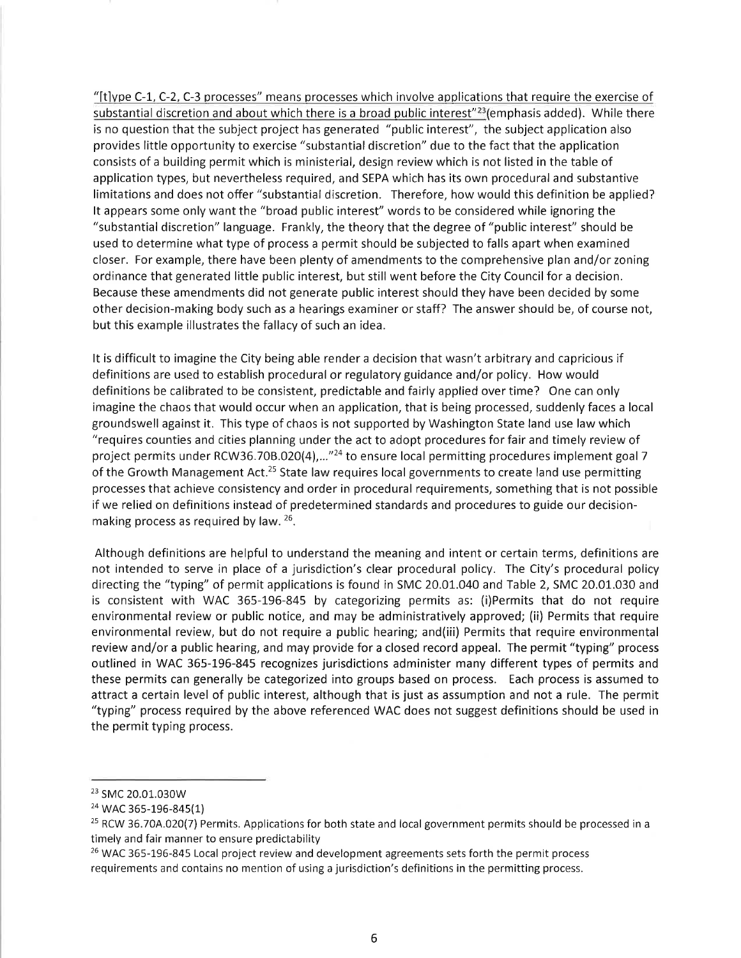" $[t]$ ype C-1, C-2, C-3 processes" means processes which involve applications that require the exercise of substantial discretion and about which there is a broad public interest"<sup>23</sup> (emphasis added). While there is no question that the subject project has generated "public interest", the subject application also provides little opportunity to exercise "substantial discretion" due to the fact that the application consists of a building permit which is ministerial, design review which is not listed in the table of application types, but nevertheless required, and SEPA which has its own procedural and substantive limitations and does not offer "substantial discretion. Therefore, how would this definition be applied? It appears some only want the "broad public interest" words to be considered while ignoring the "substantial discretion" language. Frankly, the theory that the degree of "public interest" should be used to determine what type of process a permit should be subjected to falls apart when examined closer. For example, there have been plenty of amendments to the comprehensive plan and/or zoning ordinance that generated little public interest, but stíll went before the City Council for a decision. Because these amendments did not generate public interest should they have been decided by some other decision-making body such as a hearings examiner or staff? The answer should be, of course not, but this example illustrates the fallacy of such an idea.

It is difficult to imagine the City being able render a decision that wasn't arbitrary and capricious if definítions are used to establish procedural or regulatory guidance and/or policy. How would definitions be calibrated to be consistent, predictable and fairly applied over time? One can only imagine the chaos that would occur when an application, that is being processed, suddenly faces a local groundswell against it. This type of chaos is not supported by Washington State land use law which "requires counties and cities planning under the act to adopt procedures for fair and timely review of project permits under RCW36.70B.020(4),...<sup>"24</sup> to ensure local permitting procedures implement goal 7 of the Growth Management Act.<sup>25</sup> State law requires local governments to create land use permitting processes that achieve consistency and order in procedural requirements, something that is not possible if we relied on definitions instead of predetermined standards and procedures to guide our decisionmaking process as required by law.  $26$ .

Although definitions are helpful to understand the meaning and intent or certain terms, definitions are not intended to serve in place of a jurisdiction's clear procedural policy. The City's procedural policy directing the "typing" of permit applications is found in SMC 20.01..040 and Table 2, SMC 20.01.030 and is consistent with WAC 365-196-845 by categorizing permits as: (i)Permits that do not require environmental review or public notice, and may be administratively approved; (ii) Permits that require environmental review, but do not require a public hearing; and(iii) Permits that require environmental review and/or a public hearing, and may provide for a closed record appeal. The permit "typing" process outlined in WAC 365-196-845 recognizes jurisdictions administer many different types of permits and these permits can generally be categorized into groups based on process. Each process is assumed to attract a certain level of public interest, although that is just as assumption and not a rule. The permit "typing" process required by the above referenced WAC does not suggest definitions should be used in the permit typing process.

<sup>&</sup>lt;sup>23</sup> SMC 20.01.030W

<sup>&</sup>lt;sup>24</sup> WAC 365-196-845(1)

<sup>&</sup>lt;sup>25</sup> RCW 36.70A.020(7) Permits. Applications for both state and local government permits should be processed in a timely and fair manner to ensure predictability

<sup>&</sup>lt;sup>26</sup> WAC 365-196-845 Local project review and development agreements sets forth the permit process requirements and contains no mention of using a jurisdiction's definitions in the permitting process.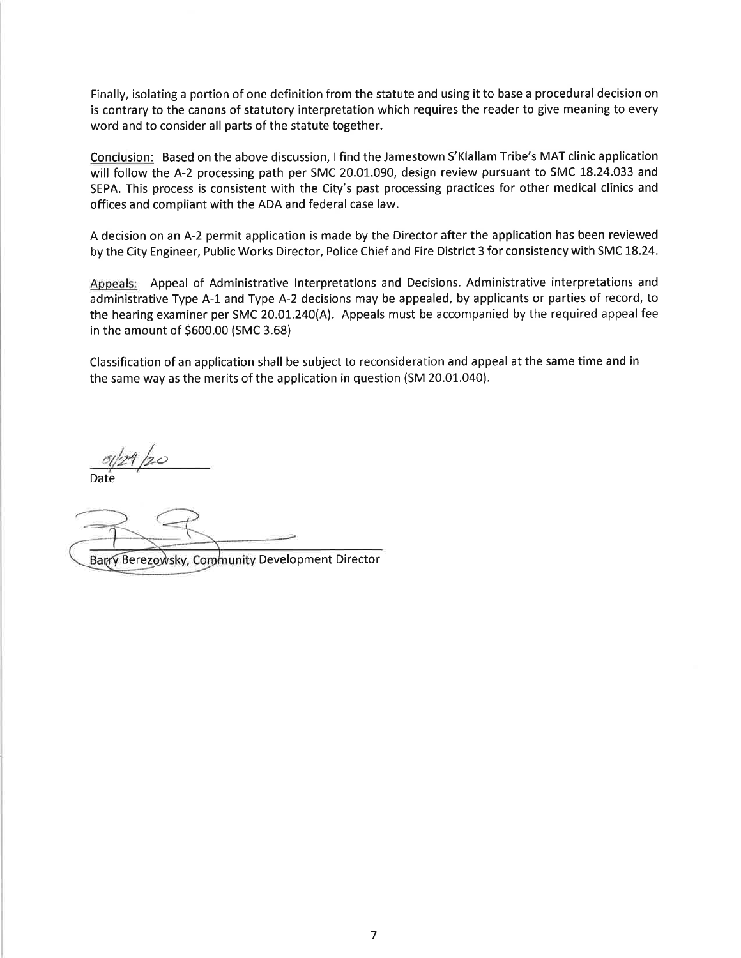Finally, isolating a portion of one definition from the statute and using it to base a procedural decision on is contrary to the canons of statutory interpretation which requires the reader to give meaning to every word and to consider all parts of the statute together.

Conclusion: Based on the above discussion, I find the Jamestown S'Klallam Tribe's MAT clinic application will follow the A-2 processing path per SMC 20.01.090, design review pursuant to SMC 18.24.033 and SEPA. This process is consistent with the City's past processing practices for other medical clinics and offices and compliant with the ADA and federal case law.

A decision on an A-2 permit application is made by the Director after the application has been reviewed by the City Engineer, Public Works Director, Police Chief and Fire District 3 for consistency with SMC 18.24.

Appeals: Appeal of Administrative lnterpretations and Decisions. Administrative interpretations and administrative Type A-L and Type A-2 decisions may be appealed, by applicants or parties of record, to the hearing examiner per SMC 2O.O1^.24O(A). Appeals must be accompaníed by the required appeal fee in the amount of s600.00 (sMc 3.68)

Classification of an application shall be subject to reconsideration and appeal at the same time and in the same way as the merits of the application in question (SM 20.01.040).

Date  $\ddot{\circ}$ 

Berezowsky, Community Development Director